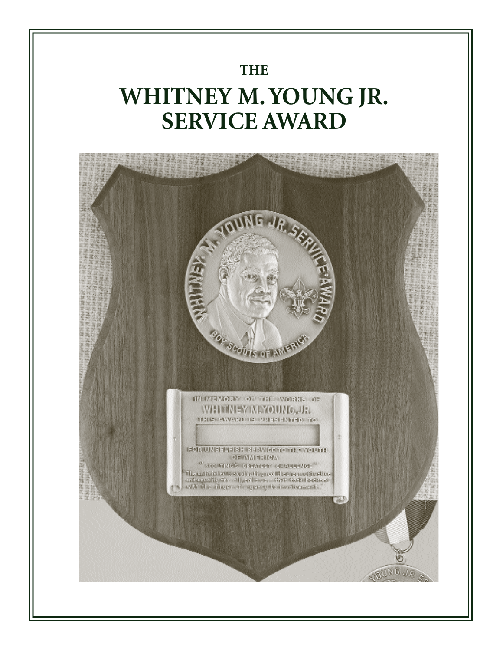### **THE**

# **WHITNEY M. YOUNG JR. SERVICE AWARD**

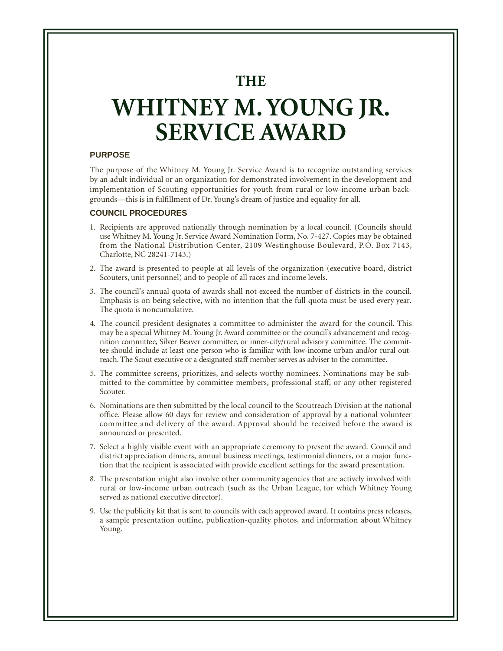**THE**

# **WHITNEY M. YOUNG JR. SERVICE AWARD**

#### **PURPOSE**

The purpose of the Whitney M. Young Jr. Service Award is to recognize outstanding services by an adult individual or an organization for demonstrated involvement in the development and implementation of Scouting opportunities for youth from rural or low-income urban backgrounds—this is in fulfillment of Dr. Young's dream of justice and equality for all.

#### **COUNCIL PROCEDURES**

- 1. Recipients are approved nationally through nomination by a local council. (Councils should use Whitney M. Young Jr. Service Award Nomination Form, No. 7-427. Copies may be obtained from the National Distribution Center, 2109 Westinghouse Boulevard, P.O. Box 7143, Charlotte, NC 28241-7143.)
- 2. The award is presented to people at all levels of the organization (executive board, district Scouters, unit personnel) and to people of all races and income levels.
- 3. The council's annual quota of awards shall not exceed the number of districts in the council. Emphasis is on being selective, with no intention that the full quota must be used every year. The quota is noncumulative.
- 4. The council president designates a committee to administer the award for the council. This may be a special Whitney M. Young Jr. Award committee or the council's advancement and recognition committee, Silver Beaver committee, or inner-city/rural advisory committee. The committee should include at least one person who is familiar with low-income urban and/or rural outre ach. The Scout executive or a designated staff member serves as adviser to the committee.
- 5. The committee screens, prioritizes, and selects worthy nominees. Nominations may be submitted to the committee by committee members, professional staff, or any other registered Scouter.
- 6. Nominations are then submitted by the local council to the Scoutreach Division at the national office. Please allow 60 days for review and consideration of approval by a national volunteer committee and delivery of the award. Approval should be received before the award is announced or presented.
- 7. Select a highly visible event with an appropriate ceremony to present the award. Council and district appreciation dinners, annual business meetings, testimonial dinners, or a major function that the recipient is associated with provide excellent settings for the award presentation.
- 8. The presentation might also involve other community agencies that are actively involved with rural or low-income urban outreach (such as the Urban League, for which Whitney Young served as national executive director).
- 9. Use the publicity kit that is sent to councils with each approved award. It contains press releases, a sample presentation outline, publication-quality photos, and information about Whitney Young.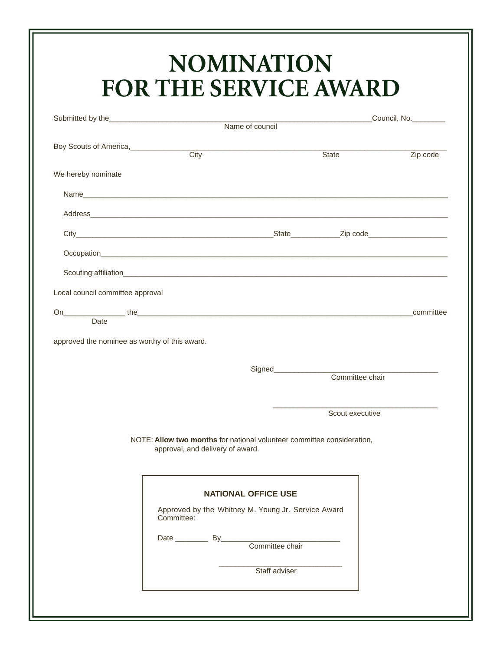### **NOMINATION FOR THE SERVICE AWARD**

|                                               |                                                                                                            | Name of council No. Council No. |                                                                                                                        |
|-----------------------------------------------|------------------------------------------------------------------------------------------------------------|---------------------------------|------------------------------------------------------------------------------------------------------------------------|
|                                               |                                                                                                            |                                 |                                                                                                                        |
| Boy Scouts of America,                        | <b>City</b>                                                                                                | State                           | Zip code                                                                                                               |
| We hereby nominate                            |                                                                                                            |                                 |                                                                                                                        |
|                                               |                                                                                                            |                                 |                                                                                                                        |
|                                               |                                                                                                            |                                 |                                                                                                                        |
|                                               |                                                                                                            |                                 |                                                                                                                        |
|                                               |                                                                                                            |                                 |                                                                                                                        |
|                                               |                                                                                                            |                                 |                                                                                                                        |
| Local council committee approval              |                                                                                                            |                                 |                                                                                                                        |
| Date                                          |                                                                                                            |                                 |                                                                                                                        |
|                                               |                                                                                                            |                                 |                                                                                                                        |
| approved the nominee as worthy of this award. |                                                                                                            |                                 |                                                                                                                        |
|                                               |                                                                                                            |                                 | <u> 1980 - John Stein, mars and de Britannie and de Britannie and de Britannie and de Britannie and de Britannie a</u> |
|                                               |                                                                                                            | Committee chair                 |                                                                                                                        |
|                                               |                                                                                                            | Scout executive                 |                                                                                                                        |
|                                               |                                                                                                            |                                 |                                                                                                                        |
|                                               | NOTE: Allow two months for national volunteer committee consideration,<br>approval, and delivery of award. |                                 |                                                                                                                        |
|                                               |                                                                                                            |                                 |                                                                                                                        |
|                                               |                                                                                                            |                                 |                                                                                                                        |
|                                               | <b>NATIONAL OFFICE USE</b>                                                                                 |                                 |                                                                                                                        |
|                                               | Approved by the Whitney M. Young Jr. Service Award<br>Committee:                                           |                                 |                                                                                                                        |
|                                               |                                                                                                            |                                 |                                                                                                                        |
|                                               |                                                                                                            |                                 |                                                                                                                        |
|                                               |                                                                                                            |                                 |                                                                                                                        |
|                                               | Staff adviser                                                                                              |                                 |                                                                                                                        |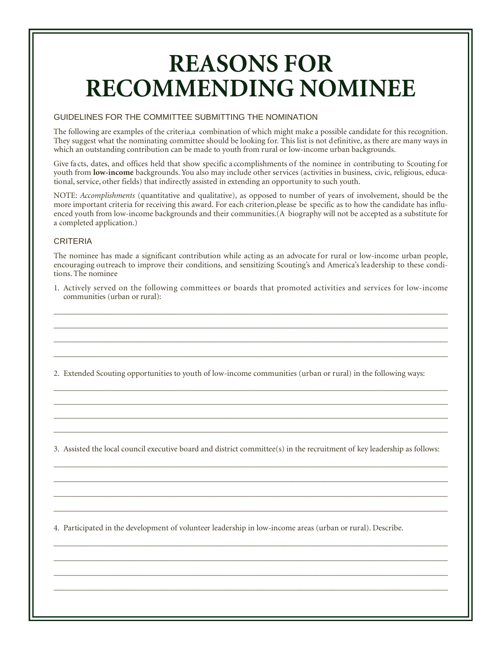### **REASONS FOR RECOMMENDING NOMINEE**

#### GUIDELINES FOR THE COMMITTEE SUBMITTING THE NOMINATION

The following are examples of the criteria,a combination of which might make a possible candidate for this recognition. They suggest what the nominating committee should be looking for. This list is not definitive, as there are many ways in which an outstanding contribution can be made to youth from rural or low-income urban backgrounds.

Give fa cts, dates, and offices held that show specific a ccomplishments of the nominee in contributing to Scouting for youth from **low-income** backgrounds. You also may include other services (activities in business, civic, religious, educational, service, other fields) that indirectly assisted in extending an opportunity to such youth.

NOTE: *Accomplishments* (quantitative and qualitative), as opposed to number of years of involvement, should be the more important criteria for receiving this award. For each criterion,please be specific as to how the candidate has influenced youth from low-income backgrounds and their communities.(A biography will not be accepted as a substitute for a completed application.)

#### CRITERIA

The nominee has made a significant contribution while acting as an advocate for rural or low-income urban people, encouraging outreach to improve their conditions, and sensitizing Scouting's and America's leadership to these conditions. The nominee

1. Actively served on the following committees or boards that promoted activities and services for low-income communities (urban or rural):

 $\_$  ,  $\_$  ,  $\_$  ,  $\_$  ,  $\_$  ,  $\_$  ,  $\_$  ,  $\_$  ,  $\_$  ,  $\_$  ,  $\_$  ,  $\_$  ,  $\_$  ,  $\_$  ,  $\_$  ,  $\_$  ,  $\_$  ,  $\_$  ,  $\_$  ,  $\_$  ,  $\_$  ,  $\_$  ,  $\_$  ,  $\_$  ,  $\_$  ,  $\_$  ,  $\_$  ,  $\_$  ,  $\_$  ,  $\_$  ,  $\_$  ,  $\_$  ,  $\_$  ,  $\_$  ,  $\_$  ,  $\_$  ,  $\_$  , \_\_\_\_\_\_\_\_\_\_\_\_\_\_\_\_\_\_\_\_\_\_\_\_\_\_\_\_\_\_\_\_\_\_\_\_\_\_\_\_\_\_\_\_\_\_\_\_\_\_\_\_\_\_\_\_\_\_\_\_\_\_\_\_\_\_\_\_\_\_\_\_\_\_\_\_\_\_\_\_\_\_\_\_\_\_\_\_\_\_\_\_\_\_\_\_ \_\_\_\_\_\_\_\_\_\_\_\_\_\_\_\_\_\_\_\_\_\_\_\_\_\_\_\_\_\_\_\_\_\_\_\_\_\_\_\_\_\_\_\_\_\_\_\_\_\_\_\_\_\_\_\_\_\_\_\_\_\_\_\_\_\_\_\_\_\_\_\_\_\_\_\_\_\_\_\_\_\_\_\_\_\_\_\_\_\_\_\_\_\_\_\_ \_\_\_\_\_\_\_\_\_\_\_\_\_\_\_\_\_\_\_\_\_\_\_\_\_\_\_\_\_\_\_\_\_\_\_\_\_\_\_\_\_\_\_\_\_\_\_\_\_\_\_\_\_\_\_\_\_\_\_\_\_\_\_\_\_\_\_\_\_\_\_\_\_\_\_\_\_\_\_\_\_\_\_\_\_\_\_\_\_\_\_\_\_\_\_\_

2. Extended Scouting opportunities to youth of low-income communities (urban or rural) in the following ways:

 $\_$  ,  $\_$  ,  $\_$  ,  $\_$  ,  $\_$  ,  $\_$  ,  $\_$  ,  $\_$  ,  $\_$  ,  $\_$  ,  $\_$  ,  $\_$  ,  $\_$  ,  $\_$  ,  $\_$  ,  $\_$  ,  $\_$  ,  $\_$  ,  $\_$  ,  $\_$  ,  $\_$  ,  $\_$  ,  $\_$  ,  $\_$  ,  $\_$  ,  $\_$  ,  $\_$  ,  $\_$  ,  $\_$  ,  $\_$  ,  $\_$  ,  $\_$  ,  $\_$  ,  $\_$  ,  $\_$  ,  $\_$  ,  $\_$  , \_\_\_\_\_\_\_\_\_\_\_\_\_\_\_\_\_\_\_\_\_\_\_\_\_\_\_\_\_\_\_\_\_\_\_\_\_\_\_\_\_\_\_\_\_\_\_\_\_\_\_\_\_\_\_\_\_\_\_\_\_\_\_\_\_\_\_\_\_\_\_\_\_\_\_\_\_\_\_\_\_\_\_\_\_\_\_\_\_\_\_\_\_\_\_\_ \_\_\_\_\_\_\_\_\_\_\_\_\_\_\_\_\_\_\_\_\_\_\_\_\_\_\_\_\_\_\_\_\_\_\_\_\_\_\_\_\_\_\_\_\_\_\_\_\_\_\_\_\_\_\_\_\_\_\_\_\_\_\_\_\_\_\_\_\_\_\_\_\_\_\_\_\_\_\_\_\_\_\_\_\_\_\_\_\_\_\_\_\_\_\_\_  $\_$  ,  $\_$  ,  $\_$  ,  $\_$  ,  $\_$  ,  $\_$  ,  $\_$  ,  $\_$  ,  $\_$  ,  $\_$  ,  $\_$  ,  $\_$  ,  $\_$  ,  $\_$  ,  $\_$  ,  $\_$  ,  $\_$  ,  $\_$  ,  $\_$  ,  $\_$  ,  $\_$  ,  $\_$  ,  $\_$  ,  $\_$  ,  $\_$  ,  $\_$  ,  $\_$  ,  $\_$  ,  $\_$  ,  $\_$  ,  $\_$  ,  $\_$  ,  $\_$  ,  $\_$  ,  $\_$  ,  $\_$  ,  $\_$  ,

3. Assisted the local council executive board and district committee(s) in the recruitment of key leadership as follows:

 $\_$  ,  $\_$  ,  $\_$  ,  $\_$  ,  $\_$  ,  $\_$  ,  $\_$  ,  $\_$  ,  $\_$  ,  $\_$  ,  $\_$  ,  $\_$  ,  $\_$  ,  $\_$  ,  $\_$  ,  $\_$  ,  $\_$  ,  $\_$  ,  $\_$  ,  $\_$  ,  $\_$  ,  $\_$  ,  $\_$  ,  $\_$  ,  $\_$  ,  $\_$  ,  $\_$  ,  $\_$  ,  $\_$  ,  $\_$  ,  $\_$  ,  $\_$  ,  $\_$  ,  $\_$  ,  $\_$  ,  $\_$  ,  $\_$  ,  $\_$  ,  $\_$  ,  $\_$  ,  $\_$  ,  $\_$  ,  $\_$  ,  $\_$  ,  $\_$  ,  $\_$  ,  $\_$  ,  $\_$  ,  $\_$  ,  $\_$  ,  $\_$  ,  $\_$  ,  $\_$  ,  $\_$  ,  $\_$  ,  $\_$  ,  $\_$  ,  $\_$  ,  $\_$  ,  $\_$  ,  $\_$  ,  $\_$  ,  $\_$  ,  $\_$  ,  $\_$  ,  $\_$  ,  $\_$  ,  $\_$  ,  $\_$  ,  $\_$  ,  $\_$  ,  $\_$  ,  $\_$  ,  $\_$  ,  $\_$  ,  $\_$  ,  $\_$  ,  $\_$  ,  $\_$  ,  $\_$  ,  $\_$  ,  $\_$  ,  $\_$  ,  $\_$  ,  $\_$  ,  $\_$  ,  $\_$  ,  $\_$  ,  $\_$  ,  $\_$  ,  $\_$  ,  $\_$  ,  $\_$  ,  $\_$  ,  $\_$  ,  $\_$  ,  $\_$  ,  $\_$  ,  $\_$  ,  $\_$  ,  $\_$  ,  $\_$  ,  $\_$  ,  $\_$  ,  $\_$  ,  $\_$  ,  $\_$  ,  $\_$  ,  $\_$  ,  $\_$  ,  $\_$  ,  $\_$  ,  $\_$  ,  $\_$  ,  $\_$  ,  $\_$  ,  $\_$  ,  $\_$  ,  $\_$  ,  $\_$  ,  $\_$  ,  $\_$  ,  $\_$  ,  $\_$  ,  $\_$  ,  $\_$  ,  $\_$  ,  $\_$  ,  $\_$  ,  $\_$  ,  $\_$  ,  $\_$  ,  $\_$  ,  $\_$  ,  $\_$  ,  $\_$  ,  $\_$  ,  $\_$  ,  $\_$  ,  $\_$  ,  $\_$  ,  $\_$  ,  $\_$  ,  $\_$  ,  $\_$  ,  $\_$  ,  $\_$  ,  $\_$  ,

 $\_$  ,  $\_$  ,  $\_$  ,  $\_$  ,  $\_$  ,  $\_$  ,  $\_$  ,  $\_$  ,  $\_$  ,  $\_$  ,  $\_$  ,  $\_$  ,  $\_$  ,  $\_$  ,  $\_$  ,  $\_$  ,  $\_$  ,  $\_$  ,  $\_$  ,  $\_$  ,  $\_$  ,  $\_$  ,  $\_$  ,  $\_$  ,  $\_$  ,  $\_$  ,  $\_$  ,  $\_$  ,  $\_$  ,  $\_$  ,  $\_$  ,  $\_$  ,  $\_$  ,  $\_$  ,  $\_$  ,  $\_$  ,  $\_$  ,  $\_$  ,  $\_$  ,  $\_$  ,  $\_$  ,  $\_$  ,  $\_$  ,  $\_$  ,  $\_$  ,  $\_$  ,  $\_$  ,  $\_$  ,  $\_$  ,  $\_$  ,  $\_$  ,  $\_$  ,  $\_$  ,  $\_$  ,  $\_$  ,  $\_$  ,  $\_$  ,  $\_$  ,  $\_$  ,  $\_$  ,  $\_$  ,  $\_$  ,  $\_$  ,  $\_$  ,  $\_$  ,  $\_$  ,  $\_$  ,  $\_$  ,  $\_$  ,  $\_$  ,  $\_$  ,  $\_$  ,  $\_$  ,  $\_$  ,  $\_$  ,  $\_$  ,  $\_$  ,  $\_$  ,  $\_$  ,  $\_$  ,  $\_$  ,  $\_$  ,  $\_$  ,  $\_$  ,  $\_$  ,  $\_$  ,  $\_$  ,  $\_$  ,  $\_$  ,  $\_$  ,  $\_$  ,  $\_$  ,  $\_$  ,  $\_$  ,  $\_$  ,  $\_$  ,  $\_$  ,  $\_$  ,  $\_$  ,  $\_$  ,  $\_$  ,  $\_$  ,  $\_$  ,  $\_$  ,  $\_$  ,  $\_$  ,  $\_$  ,  $\_$  ,  $\_$  ,  $\_$  ,  $\_$  ,  $\_$  ,  $\_$  ,  $\_$  ,  $\_$  ,  $\_$  ,  $\_$  ,  $\_$  ,  $\_$  ,  $\_$  ,  $\_$  ,  $\_$  ,  $\_$  ,  $\_$  ,  $\_$  ,  $\_$  ,  $\_$  ,  $\_$  ,  $\_$  ,  $\_$  ,  $\_$  ,  $\_$  ,  $\_$  ,  $\_$  ,  $\_$  ,  $\_$  ,  $\_$  ,  $\_$  ,  $\_$  ,  $\_$  ,  $\_$  ,  $\_$  ,  $\_$  ,  $\_$  ,  $\_$  ,  $\_$  ,  $\_$  ,  $\_$  ,

4. Participated in the development of volunteer leadership in low-income areas (urban or rural). Describe.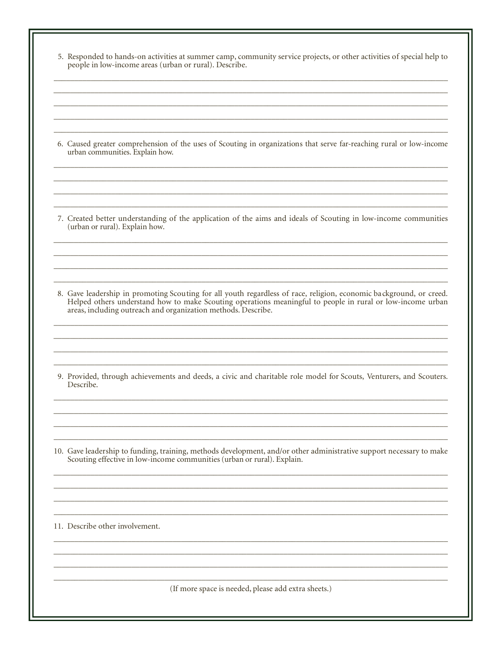5. Responded to hands-on activities at summer camp, community service projects, or other activities of special help to people in low-income areas (urban or rural). Describe.

6. Caused greater comprehension of the uses of Scouting in organizations that serve far-reaching rural or low-income urban communities. Explain how.

7. Created better understanding of the application of the aims and ideals of Scouting in low-income communities (urban or rural). Explain how.

8. Gave leadership in promoting Scouting for all youth regardless of race, religion, economic background, or creed. Helped others understand how to make Scouting operations meaningful to people in rural or low-income urban areas, including outreach and organization methods. Describe.

9. Provided, through achievements and deeds, a civic and charitable role model for Scouts, Venturers, and Scouters. Describe.

10. Gave leadership to funding, training, methods development, and/or other administrative support necessary to make Scouting effective in low-income communities (urban or rural). Explain.

11. Describe other involvement.

(If more space is needed, please add extra sheets.)